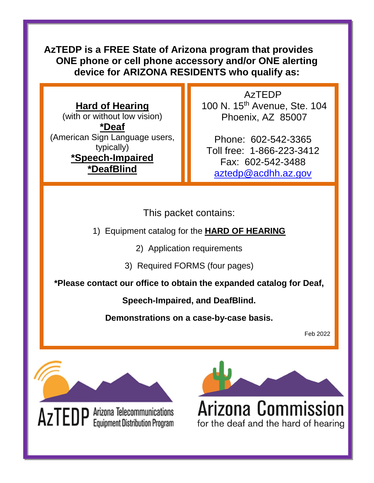**AzTEDP is a FREE State of Arizona program that provides ONE phone or cell phone accessory and/or ONE alerting device for ARIZONA RESIDENTS who qualify as:**

**Hard of Hearing**  (with or without low vision) **\*Deaf**  (American Sign Language users, typically) **\*Speech-Impaired \*DeafBlind**

AzTEDP 100 N. 15th Avenue, Ste. 104 Phoenix, AZ 85007

Phone: 602-542-3365 Toll free: 1-866-223-3412 Fax: 602-542-3488 [aztedp@acdhh.az.gov](mailto:aztedp@acdhh.az.gov)

This packet contains:

1) Equipment catalog for the **HARD OF HEARING**

2) Application requirements

3) Required FORMS (four pages)

**\*Please contact our office to obtain the expanded catalog for Deaf,** 

**Speech-Impaired, and DeafBlind.** 

**Demonstrations on a case-by-case basis.**

Feb 2022



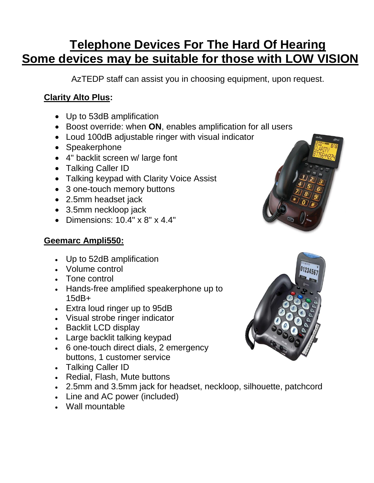# **Telephone Devices For The Hard Of Hearing Some devices may be suitable for those with LOW VISION**

AzTEDP staff can assist you in choosing equipment, upon request.

### **Clarity Alto Plus:**

- Up to 53dB amplification
- Boost override: when **ON**, enables amplification for all users
- Loud 100dB adjustable ringer with visual indicator
- Speakerphone
- 4" backlit screen w/ large font
- Talking Caller ID
- Talking keypad with Clarity Voice Assist
- 3 one-touch memory buttons
- 2.5mm headset jack
- 3.5mm neckloop jack
- Dimensions: 10.4" x 8" x 4.4"

#### **Geemarc Ampli550:**

- Up to 52dB amplification
- Volume control
- Tone control
- Hands-free amplified speakerphone up to 15dB+
- Extra loud ringer up to 95dB
- Visual strobe ringer indicator
- Backlit LCD display
- Large backlit talking keypad
- 6 one-touch direct dials, 2 emergency buttons, 1 customer service
- Talking Caller ID
- Redial, Flash, Mute buttons
- 2.5mm and 3.5mm jack for headset, neckloop, silhouette, patchcord
- Line and AC power (included)
- Wall mountable



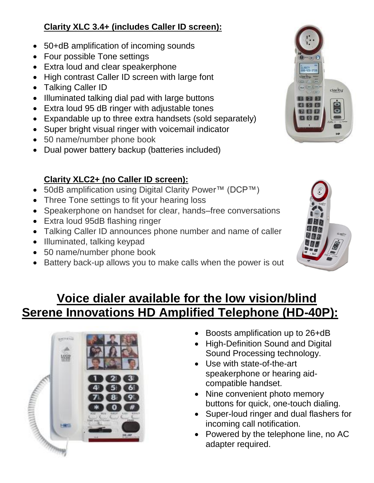### **Clarity XLC 3.4+ (includes Caller ID screen):**

- 50+dB amplification of incoming sounds
- Four possible Tone settings
- Extra loud and clear speakerphone
- High contrast Caller ID screen with large font
- Talking Caller ID
- Illuminated talking dial pad with large buttons
- Extra loud 95 dB ringer with adjustable tones
- Expandable up to three extra handsets (sold separately)
- Super bright visual ringer with voicemail indicator
- 50 name/number phone book
- Dual power battery backup (batteries included)

## **Clarity XLC2+ (no Caller ID screen):**

- 50dB amplification using Digital Clarity Power™ (DCP™)
- Three Tone settings to fit your hearing loss
- Speakerphone on handset for clear, hands–free conversations
- Extra loud 95dB flashing ringer
- Talking Caller ID announces phone number and name of caller
- Illuminated, talking keypad
- 50 name/number phone book
- Battery back-up allows you to make calls when the power is out





# **Voice dialer available for the low vision/blind Serene Innovations HD Amplified Telephone (HD-40P):**



- Boosts amplification up to 26+dB
- High-Definition Sound and Digital Sound Processing technology.
- Use with state-of-the-art speakerphone or hearing aidcompatible handset.
- Nine convenient photo memory buttons for quick, one-touch dialing.
- Super-loud ringer and dual flashers for incoming call notification.
- Powered by the telephone line, no AC adapter required.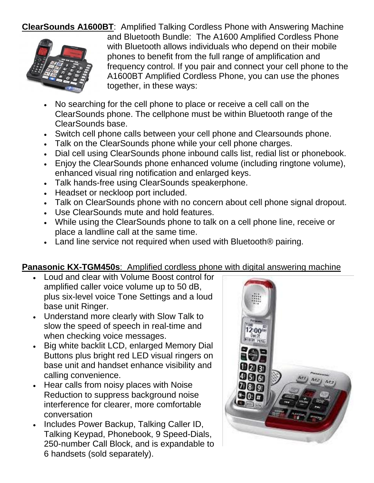**ClearSounds A1600BT**: Amplified Talking Cordless Phone with Answering Machine



and Bluetooth Bundle: The A1600 Amplified Cordless Phone with Bluetooth allows individuals who depend on their mobile phones to benefit from the full range of amplification and frequency control. If you pair and connect your cell phone to the A1600BT Amplified Cordless Phone, you can use the phones together, in these ways:

- No searching for the cell phone to place or receive a cell call on the ClearSounds phone. The cellphone must be within Bluetooth range of the ClearSounds base.
- Switch cell phone calls between your cell phone and Clearsounds phone.
- Talk on the ClearSounds phone while your cell phone charges.
- Dial cell using ClearSounds phone inbound calls list, redial list or phonebook.
- Enjoy the ClearSounds phone enhanced volume (including ringtone volume), enhanced visual ring notification and enlarged keys.
- Talk hands-free using ClearSounds speakerphone.
- Headset or neckloop port included.
- Talk on ClearSounds phone with no concern about cell phone signal dropout.
- Use ClearSounds mute and hold features.
- While using the ClearSounds phone to talk on a cell phone line, receive or place a landline call at the same time.
- Land line service not required when used with Bluetooth<sup>®</sup> pairing.

#### **Panasonic KX-TGM450s**: Amplified cordless phone with digital answering machine

- Loud and clear with Volume Boost control for amplified caller voice volume up to 50 dB, plus six-level voice Tone Settings and a loud base unit Ringer.
- Understand more clearly with Slow Talk to slow the speed of speech in real-time and when checking voice messages.
- Big white backlit LCD, enlarged Memory Dial Buttons plus bright red LED visual ringers on base unit and handset enhance visibility and calling convenience.
- Hear calls from noisy places with Noise Reduction to suppress background noise interference for clearer, more comfortable conversation
- Includes Power Backup, Talking Caller ID, Talking Keypad, Phonebook, 9 Speed-Dials, 250-number Call Block, and is expandable to 6 handsets (sold separately).

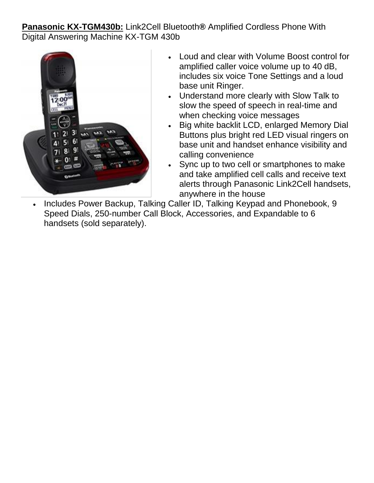**Panasonic KX-TGM430b:** Link2Cell Bluetooth**®** Amplified Cordless Phone With Digital Answering Machine KX-TGM 430b



- Loud and clear with Volume Boost control for amplified caller voice volume up to 40 dB, includes six voice Tone Settings and a loud base unit Ringer.
- Understand more clearly with Slow Talk to slow the speed of speech in real-time and when checking voice messages
- Big white backlit LCD, enlarged Memory Dial Buttons plus bright red LED visual ringers on base unit and handset enhance visibility and calling convenience
- Sync up to two cell or smartphones to make and take amplified cell calls and receive text alerts through Panasonic Link2Cell handsets, anywhere in the house
- Includes Power Backup, Talking Caller ID, Talking Keypad and Phonebook, 9 Speed Dials, 250-number Call Block, Accessories, and Expandable to 6 handsets (sold separately).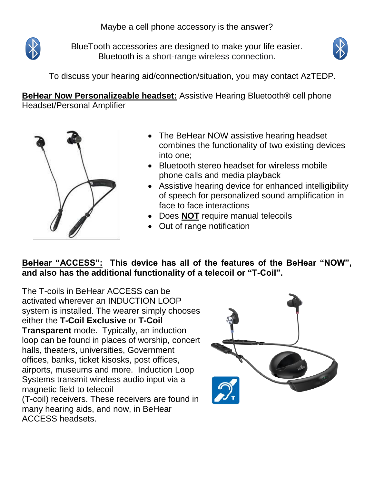

BlueTooth accessories are designed to make your life easier. Bluetooth is a short-range wireless connection.



To discuss your hearing aid/connection/situation, you may contact AzTEDP.

**BeHear Now Personalizeable headset:** Assistive Hearing Bluetooth**®** cell phone Headset/Personal Amplifier



ACCESS headsets.

- The BeHear NOW assistive hearing headset combines the functionality of two existing devices into one;
- Bluetooth stereo headset for wireless mobile phone calls and media playback
- Assistive hearing device for enhanced intelligibility of speech for personalized sound amplification in face to face interactions
- Does **NOT** require manual telecoils
- Out of range notification

**BeHear "ACCESS": This device has all of the features of the BeHear "NOW", and also has the additional functionality of a telecoil or "T-Coil".** 

The T-coils in BeHear ACCESS can be activated wherever an INDUCTION LOOP system is installed. The wearer simply chooses either the **T-Coil Exclusive** or **T-Coil Transparent** mode. Typically, an induction loop can be found in places of worship, concert halls, theaters, universities, Government offices, banks, ticket kisosks, post offices, airports, museums and more. Induction Loop Systems transmit wireless audio input via a magnetic field to telecoil (T-coil) receivers. These receivers are found in many hearing aids, and now, in BeHear

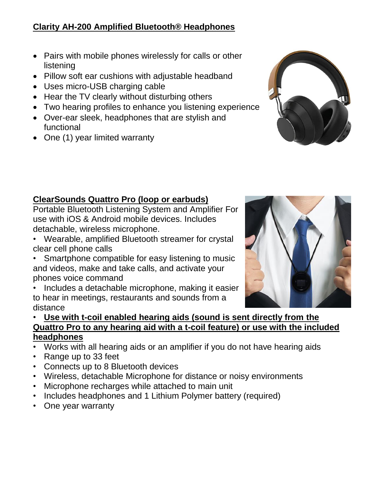#### **Clarity AH-200 Amplified Bluetooth® Headphones**

- Pairs with mobile phones wirelessly for calls or other listening
- Pillow soft ear cushions with adjustable headband
- Uses micro-USB charging cable
- Hear the TV clearly without disturbing others
- Two hearing profiles to enhance you listening experience
- Over-ear sleek, headphones that are stylish and functional
- One (1) year limited warranty



Portable Bluetooth Listening System and Amplifier For use with iOS & Android mobile devices. Includes detachable, wireless microphone.

- Wearable, amplified Bluetooth streamer for crystal clear cell phone calls
- Smartphone compatible for easy listening to music and videos, make and take calls, and activate your phones voice command

Includes a detachable microphone, making it easier to hear in meetings, restaurants and sounds from a distance

#### • **Use with t-coil enabled hearing aids (sound is sent directly from the Quattro Pro to any hearing aid with a t-coil feature) or use with the included headphones**

- Works with all hearing aids or an amplifier if you do not have hearing aids
- Range up to 33 feet
- Connects up to 8 Bluetooth devices
- Wireless, detachable Microphone for distance or noisy environments
- Microphone recharges while attached to main unit
- Includes headphones and 1 Lithium Polymer battery (required)
- One year warranty



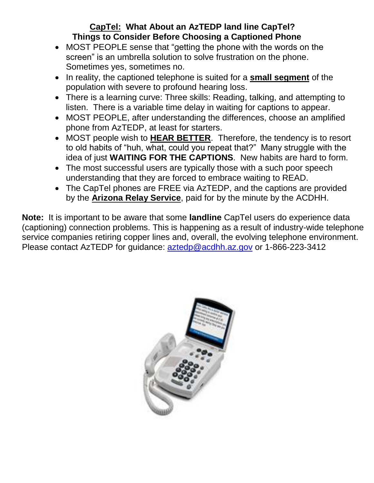#### **CapTel: What About an AzTEDP land line CapTel? Things to Consider Before Choosing a Captioned Phone**

- MOST PEOPLE sense that "getting the phone with the words on the screen" is an umbrella solution to solve frustration on the phone. Sometimes yes, sometimes no.
- In reality, the captioned telephone is suited for a **small segment** of the population with severe to profound hearing loss.
- There is a learning curve: Three skills: Reading, talking, and attempting to listen. There is a variable time delay in waiting for captions to appear.
- MOST PEOPLE, after understanding the differences, choose an amplified phone from AzTEDP, at least for starters.
- MOST people wish to **HEAR BETTER**. Therefore, the tendency is to resort to old habits of "huh, what, could you repeat that?" Many struggle with the idea of just **WAITING FOR THE CAPTIONS**. New habits are hard to form.
- The most successful users are typically those with a such poor speech understanding that they are forced to embrace waiting to READ.
- The CapTel phones are FREE via AzTEDP, and the captions are provided by the **Arizona Relay Service**, paid for by the minute by the ACDHH.

**Note:** It is important to be aware that some **landline** CapTel users do experience data (captioning) connection problems. This is happening as a result of industry-wide telephone service companies retiring copper lines and, overall, the evolving telephone environment. Please contact AzTEDP for guidance: [aztedp@acdhh.az.gov](mailto:aztedp@acdhh.az.gov) or 1-866-223-3412

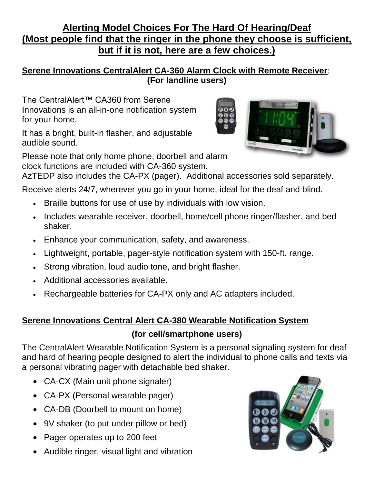### **Alerting Model Choices For The Hard Of Hearing/Deaf (Most people find that the ringer in the phone they choose is sufficient, but if it is not, here are a few choices.)**

#### **Serene Innovations CentralAlert CA-360 Alarm Clock with Remote Receiver**: **(For landline users)**

The CentralAlert™ CA360 from Serene Innovations is an all-in-one notification system for your home.

It has a bright, built-in flasher, and adjustable audible sound.

Please note that only home phone, doorbell and alarm clock functions are included with CA-360 system.



AzTEDP also includes the CA-PX (pager). Additional accessories sold separately.

Receive alerts 24/7, wherever you go in your home, ideal for the deaf and blind.

- Braille buttons for use of use by individuals with low vision.
- Includes wearable receiver, doorbell, home/cell phone ringer/flasher, and bed shaker.
- Enhance your communication, safety, and awareness.
- Lightweight, portable, pager-style notification system with 150-ft. range.
- Strong vibration, loud audio tone, and bright flasher.
- Additional accessories available.
- Rechargeable batteries for CA-PX only and AC adapters included.

### **Serene Innovations Central Alert CA-380 Wearable Notification System (for cell/smartphone users)**

The CentralAlert Wearable Notification System is a personal signaling system for deaf and hard of hearing people designed to alert the individual to phone calls and texts via a personal vibrating pager with detachable bed shaker.

- CA-CX (Main unit phone signaler)
- CA-PX (Personal wearable pager)
- CA-DB (Doorbell to mount on home)
- 9V shaker (to put under pillow or bed)
- Pager operates up to 200 feet
- Audible ringer, visual light and vibration

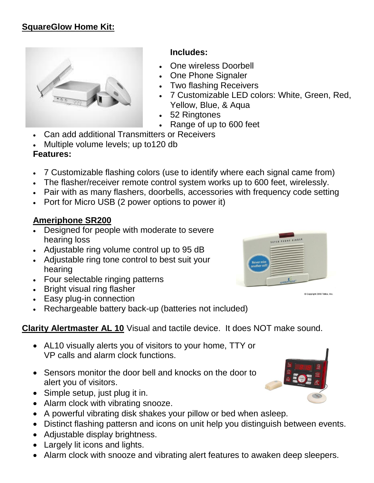

#### **Includes:**

- One wireless Doorbell
- One Phone Signaler
- Two flashing Receivers
- 7 Customizable LED colors: White, Green, Red, Yellow, Blue, & Aqua
- 52 Ringtones
- Range of up to 600 feet
- Can add additional Transmitters or Receivers
- Multiple volume levels; up to120 db

### **Features:**

- 7 Customizable flashing colors (use to identify where each signal came from)
- The flasher/receiver remote control system works up to 600 feet, wirelessly.
- Pair with as many flashers, doorbells, accessories with frequency code setting
- Port for Micro USB (2 power options to power it)

#### **Ameriphone SR200**

- Designed for people with moderate to severe hearing loss
- Adjustable ring volume control up to 95 dB
- Adjustable ring tone control to best suit your hearing
- Four selectable ringing patterns
- Bright visual ring flasher
- Easy plug-in connection
- Rechargeable battery back-up (batteries not included)

### **Clarity Alertmaster AL 10** Visual and tactile device. It does NOT make sound.

- AL10 visually alerts you of visitors to your home, TTY or VP calls and alarm clock functions.
- Sensors monitor the door bell and knocks on the door to alert you of visitors.
- Simple setup, just plug it in.
- Alarm clock with vibrating snooze.
- A powerful vibrating disk shakes your pillow or bed when asleep.
- Distinct flashing pattersn and icons on unit help you distinguish between events.
- Adjustable display brightness.
- Largely lit icons and lights.
- Alarm clock with snooze and vibrating alert features to awaken deep sleepers.





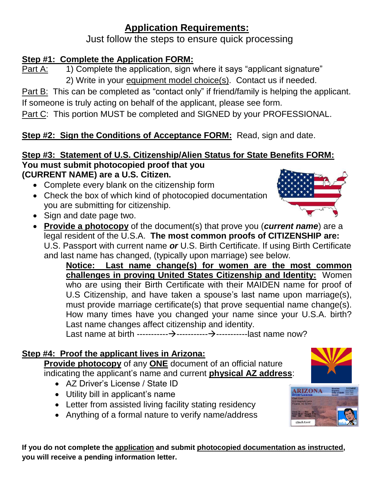## **Application Requirements:**

Just follow the steps to ensure quick processing

### **Step #1: Complete the Application FORM:**

Part A: 1) Complete the application, sign where it says "applicant signature" 2) Write in your equipment model choice(s). Contact us if needed.

Part B: This can be completed as "contact only" if friend/family is helping the applicant. If someone is truly acting on behalf of the applicant, please see form.

Part C: This portion MUST be completed and SIGNED by your PROFESSIONAL.

### **Step #2: Sign the Conditions of Acceptance FORM: Read, sign and date.**

#### **Step #3: Statement of U.S. Citizenship/Alien Status for State Benefits FORM: You must submit photocopied proof that you (CURRENT NAME) are a U.S. Citizen.**

- Complete every blank on the citizenship form
- Check the box of which kind of photocopied documentation you are submitting for citizenship.
- Sign and date page two.
- **Provide a photocopy** of the document(s) that prove you (*current name*) are a legal resident of the U.S.A. **The most common proofs of CITIZENSHIP are:** U.S. Passport with current name *or* U.S. Birth Certificate. If using Birth Certificate and last name has changed, (typically upon marriage) see below.

**Notice: Last name change(s) for women are the most common challenges in proving United States Citizenship and Identity:** Women who are using their Birth Certificate with their MAIDEN name for proof of U.S Citizenship, and have taken a spouse's last name upon marriage(s), must provide marriage certificate(s) that prove sequential name change(s). How many times have you changed your name since your U.S.A. birth? Last name changes affect citizenship and identity.

Last name at birth -----------→-----------→-----------last name now?

### **Step #4: Proof the applicant lives in Arizona:**

**Provide photocopy** of any **ONE** document of an official nature indicating the applicant's name and current **physical AZ address**:

- AZ Driver's License / State ID
- Utility bill in applicant's name
- Letter from assisted living facility stating residency
- Anything of a formal nature to verify name/address







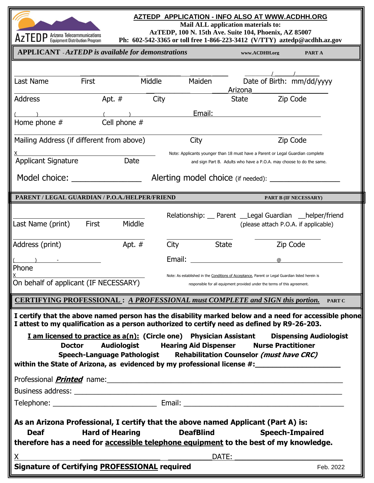

E

#### **AZTEDP APPLICATION - INFO ALSO AT WWW.ACDHH.ORG**

**Mail ALL application materials to:**

**AzTEDP, 100 N. 15th Ave. Suite 104, Phoenix, AZ 85007**

| $\mathsf{A}\mathsf{Z}$ I $\mathsf{E}\mathsf{U}\mathsf{F}$ Equipment Distribution Program |                                                           | Ph: 602-542-3365 or toll free 1-866-223-3412 (V/TTY) aztedp@acdhh.az.gov                                                                                                                                                                                                                                                                   |                                                                                                                                                                              |                        |  |  |
|------------------------------------------------------------------------------------------|-----------------------------------------------------------|--------------------------------------------------------------------------------------------------------------------------------------------------------------------------------------------------------------------------------------------------------------------------------------------------------------------------------------------|------------------------------------------------------------------------------------------------------------------------------------------------------------------------------|------------------------|--|--|
|                                                                                          | <b>APPLICANT</b> - AzTEDP is available for demonstrations | www.ACDHH.org                                                                                                                                                                                                                                                                                                                              | PART A                                                                                                                                                                       |                        |  |  |
|                                                                                          |                                                           |                                                                                                                                                                                                                                                                                                                                            |                                                                                                                                                                              |                        |  |  |
| Last Name                                                                                | First                                                     | Maiden<br>Middle                                                                                                                                                                                                                                                                                                                           | Date of Birth: mm/dd/yyyy<br>Arizona                                                                                                                                         |                        |  |  |
| Address                                                                                  | Apt. $#$                                                  | City                                                                                                                                                                                                                                                                                                                                       | <b>State</b>                                                                                                                                                                 | Zip Code               |  |  |
|                                                                                          |                                                           | Email:                                                                                                                                                                                                                                                                                                                                     |                                                                                                                                                                              |                        |  |  |
| Home phone #                                                                             | Cell phone #                                              |                                                                                                                                                                                                                                                                                                                                            |                                                                                                                                                                              |                        |  |  |
|                                                                                          | Mailing Address (if different from above)                 | City                                                                                                                                                                                                                                                                                                                                       |                                                                                                                                                                              | Zip Code               |  |  |
|                                                                                          |                                                           |                                                                                                                                                                                                                                                                                                                                            | Note: Applicants younger than 18 must have a Parent or Legal Guardian complete                                                                                               |                        |  |  |
| <b>Applicant Signature</b>                                                               | Date                                                      |                                                                                                                                                                                                                                                                                                                                            | and sign Part B. Adults who have a P.O.A. may choose to do the same.                                                                                                         |                        |  |  |
| Model choice: ________________<br>Alerting model choice (if needed): _______             |                                                           |                                                                                                                                                                                                                                                                                                                                            |                                                                                                                                                                              |                        |  |  |
|                                                                                          | PARENT / LEGAL GUARDIAN / P.O.A./HELPER/FRIEND            |                                                                                                                                                                                                                                                                                                                                            |                                                                                                                                                                              | PART B (IF NECESSARY)  |  |  |
|                                                                                          |                                                           |                                                                                                                                                                                                                                                                                                                                            | Relationship: Parent Legal Guardian helper/friend                                                                                                                            |                        |  |  |
| Last Name (print)                                                                        | Middle<br><b>First</b>                                    |                                                                                                                                                                                                                                                                                                                                            | (please attach P.O.A. if applicable)                                                                                                                                         |                        |  |  |
| Address (print)                                                                          | Apt. $#$                                                  | City                                                                                                                                                                                                                                                                                                                                       | <b>State</b>                                                                                                                                                                 | Zip Code               |  |  |
|                                                                                          |                                                           | Email:                                                                                                                                                                                                                                                                                                                                     | $^\circledR$                                                                                                                                                                 |                        |  |  |
| Phone                                                                                    |                                                           |                                                                                                                                                                                                                                                                                                                                            |                                                                                                                                                                              |                        |  |  |
| On behalf of applicant (IF NECESSARY)                                                    |                                                           |                                                                                                                                                                                                                                                                                                                                            | Note: As established in the Conditions of Acceptance, Parent or Legal Guardian listed herein is<br>responsible for all equipment provided under the terms of this agreement. |                        |  |  |
|                                                                                          |                                                           | <b>CERTIFYING PROFESSIONAL: A PROFESSIONAL must COMPLETE and SIGN this portion.</b>                                                                                                                                                                                                                                                        |                                                                                                                                                                              | <b>PART C</b>          |  |  |
| <b>Doctor</b>                                                                            | <b>Audiologist</b>                                        | I certify that the above named person has the disability marked below and a need for accessible phone<br>I attest to my qualification as a person authorized to certify need as defined by R9-26-203.<br><b>I am licensed to practice as a(n): (Circle one)</b> Physician Assistant Dispensing Audiologist<br><b>Hearing Aid Dispenser</b> | <b>Nurse Practitioner</b>                                                                                                                                                    |                        |  |  |
|                                                                                          |                                                           | Speech-Language Pathologist Rehabilitation Counselor (must have CRC)<br>within the State of Arizona, as evidenced by my professional license #:                                                                                                                                                                                            |                                                                                                                                                                              |                        |  |  |
|                                                                                          |                                                           |                                                                                                                                                                                                                                                                                                                                            |                                                                                                                                                                              |                        |  |  |
|                                                                                          |                                                           |                                                                                                                                                                                                                                                                                                                                            |                                                                                                                                                                              |                        |  |  |
|                                                                                          |                                                           |                                                                                                                                                                                                                                                                                                                                            |                                                                                                                                                                              |                        |  |  |
|                                                                                          |                                                           | As an Arizona Professional, I certify that the above named Applicant (Part A) is:                                                                                                                                                                                                                                                          |                                                                                                                                                                              |                        |  |  |
| <b>Deaf</b>                                                                              | <b>Hard of Hearing</b>                                    | <b>DeafBlind</b>                                                                                                                                                                                                                                                                                                                           |                                                                                                                                                                              | <b>Speech-Impaired</b> |  |  |
|                                                                                          |                                                           | therefore has a need for accessible telephone equipment to the best of my knowledge.                                                                                                                                                                                                                                                       |                                                                                                                                                                              |                        |  |  |
| X.                                                                                       |                                                           |                                                                                                                                                                                                                                                                                                                                            | DATE:                                                                                                                                                                        |                        |  |  |
|                                                                                          | Signature of Certifying PROFESSIONAL required             |                                                                                                                                                                                                                                                                                                                                            |                                                                                                                                                                              | Feb. 2022              |  |  |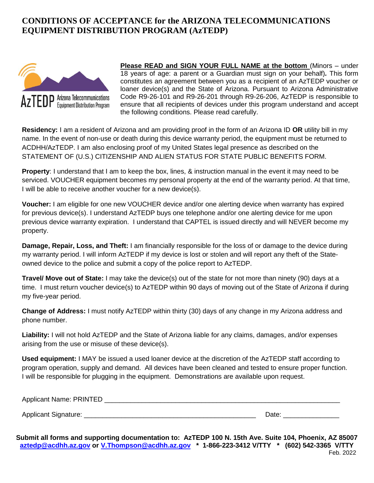#### **CONDITIONS OF ACCEPTANCE for the ARIZONA TELECOMMUNICATIONS EQUIPMENT DISTRIBUTION PROGRAM (AzTEDP)**



**Please READ and SIGN YOUR FULL NAME at the bottom** (Minors – under 18 years of age: a parent or a Guardian must sign on your behalf)*.* This form constitutes an agreement between you as a recipient of an AzTEDP voucher or loaner device(s) and the State of Arizona. Pursuant to Arizona Administrative Code R9-26-101 and R9-26-201 through R9-26-206, AzTEDP is responsible to ensure that all recipients of devices under this program understand and accept the following conditions. Please read carefully.

**Residency:** I am a resident of Arizona and am providing proof in the form of an Arizona ID **OR** utility bill in my name. In the event of non-use or death during this device warranty period, the equipment must be returned to ACDHH/AzTEDP. I am also enclosing proof of my United States legal presence as described on the STATEMENT OF (U.S.) CITIZENSHIP AND ALIEN STATUS FOR STATE PUBLIC BENEFITS FORM.

**Property**: I understand that I am to keep the box, lines, & instruction manual in the event it may need to be serviced. VOUCHER equipment becomes my personal property at the end of the warranty period. At that time, I will be able to receive another voucher for a new device(s).

**Voucher:** I am eligible for one new VOUCHER device and/or one alerting device when warranty has expired for previous device(s). I understand AzTEDP buys one telephone and/or one alerting device for me upon previous device warranty expiration. I understand that CAPTEL is issued directly and will NEVER become my property.

**Damage, Repair, Loss, and Theft:** I am financially responsible for the loss of or damage to the device during my warranty period. I will inform AzTEDP if my device is lost or stolen and will report any theft of the Stateowned device to the police and submit a copy of the police report to AzTEDP.

**Travel/ Move out of State:** I may take the device(s) out of the state for not more than ninety (90) days at a time. I must return voucher device(s) to AzTEDP within 90 days of moving out of the State of Arizona if during my five-year period.

**Change of Address:** I must notify AzTEDP within thirty (30) days of any change in my Arizona address and phone number.

**Liability:** I will not hold AzTEDP and the State of Arizona liable for any claims, damages, and/or expenses arising from the use or misuse of these device(s).

**Used equipment:** I MAY be issued a used loaner device at the discretion of the AzTEDP staff according to program operation, supply and demand. All devices have been cleaned and tested to ensure proper function. I will be responsible for plugging in the equipment. Demonstrations are available upon request.

| Applicant Name: PRINTED |  |  |
|-------------------------|--|--|
|                         |  |  |
| ____                    |  |  |

Applicant Signature: \_\_\_\_\_\_\_\_\_\_\_\_\_\_\_\_\_\_\_\_\_\_\_\_\_\_\_\_\_\_\_\_\_\_\_\_\_\_\_\_\_\_\_\_\_\_ Date: \_\_\_\_\_\_\_\_\_\_\_\_\_\_\_

**Submit all forms and supporting documentation to: AzTEDP 100 N. 15th Ave. Suite 104, Phoenix, AZ 85007 [aztedp@acdhh.az.gov](mailto:aztedp@acdhh.az.gov) or [V.Thompson@acdhh.az.gov](mailto:V.Thompson@acdhh.az.gov) \* 1-866-223-3412 V/TTY \* (602) 542-3365 V/TTY** Feb. 2022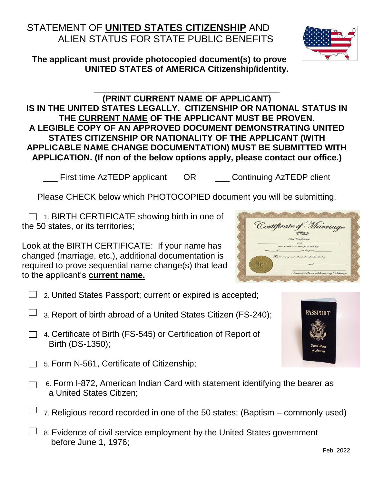### STATEMENT OF **UNITED STATES CITIZENSHIP** AND ALIEN STATUS FOR STATE PUBLIC BENEFITS

**The applicant must provide photocopied document(s) to prove UNITED STATES of AMERICA Citizenship/identity.**

#### **(PRINT CURRENT NAME OF APPLICANT) IS IN THE UNITED STATES LEGALLY. CITIZENSHIP OR NATIONAL STATUS IN THE CURRENT NAME OF THE APPLICANT MUST BE PROVEN. A LEGIBLE COPY OF AN APPROVED DOCUMENT DEMONSTRATING UNITED STATES CITIZENSHIP OR NATIONALITY OF THE APPLICANT (WITH APPLICABLE NAME CHANGE DOCUMENTATION) MUST BE SUBMITTED WITH APPLICATION. (If non of the below options apply, please contact our office.)**

**\_\_\_\_\_\_\_\_\_\_\_\_\_\_\_\_\_\_\_\_\_\_\_\_\_\_\_\_\_\_\_\_\_\_\_\_\_\_\_**

\_\_\_ First time AzTEDP applicant OR \_\_\_ Continuing AzTEDP client

Please CHECK below which PHOTOCOPIED document you will be submitting.

 $\Box$  1. BIRTH CERTIFICATE showing birth in one of the 50 states, or its territories;

Look at the BIRTH CERTIFICATE: If your name has changed (marriage, etc.), additional documentation is required to prove sequential name change(s) that lead to the applicant's **current name.**

- $\Box$  2. United States Passport; current or expired is accepted;
- 3. Report of birth abroad of a United States Citizen (FS-240);
- □ 4. Certificate of Birth (FS-545) or Certification of Report of Birth (DS-1350);
- 5. Form N-561, Certificate of Citizenship;
	- 6. Form I-872, American Indian Card with statement identifying the bearer as a United States Citizen;
	- 7. Religious record recorded in one of the 50 states; (Baptism commonly used)
- $\Box$  8. Evidence of civil service employment by the United States government before June 1, 1976;





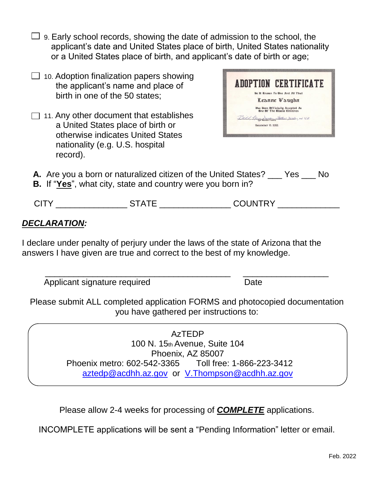- $\Box$  9. Early school records, showing the date of admission to the school, the applicant's date and United States place of birth, United States nationality or a United States place of birth, and applicant's date of birth or age;
- $\Box$  10. Adoption finalization papers showing the applicant's name and place of birth in one of the 50 states;
- $\Box$  11. Any other document that establishes a United States place of birth or otherwise indicates United States nationality (e.g. U.S. hospital record).



- **A.** Are you a born or naturalized citizen of the United States? Yes No
- **B.** If "**Yes**", what city, state and country were you born in?

| <b>CIT</b> | <u>— л. .</u><br>. | COLINITRY |
|------------|--------------------|-----------|
|            |                    |           |

#### *DECLARATION:*

I declare under penalty of perjury under the laws of the state of Arizona that the answers I have given are true and correct to the best of my knowledge.

Applicant signature required Date

Please submit ALL completed application FORMS and photocopied documentation you have gathered per instructions to:

\_\_\_\_\_\_\_\_\_\_\_\_\_\_\_\_\_\_\_\_\_\_\_\_\_\_\_\_\_\_\_\_\_\_\_\_\_\_\_ \_\_\_\_\_\_\_\_\_\_\_\_\_\_\_\_\_\_

AzTEDP 100 N. 15th Avenue, Suite 104 Phoenix, AZ 85007 Phoenix metro: 602-542-3365 Toll free: 1-866-223-3412 [aztedp@acdhh.az.gov](mailto:aztedp@acdhh.az.gov) or [V.Thompson@acdhh.az.gov](mailto:V.Thompson@acdhh.az.gov)

Please allow 2-4 weeks for processing of *COMPLETE* applications.

INCOMPLETE applications will be sent a "Pending Information" letter or email.